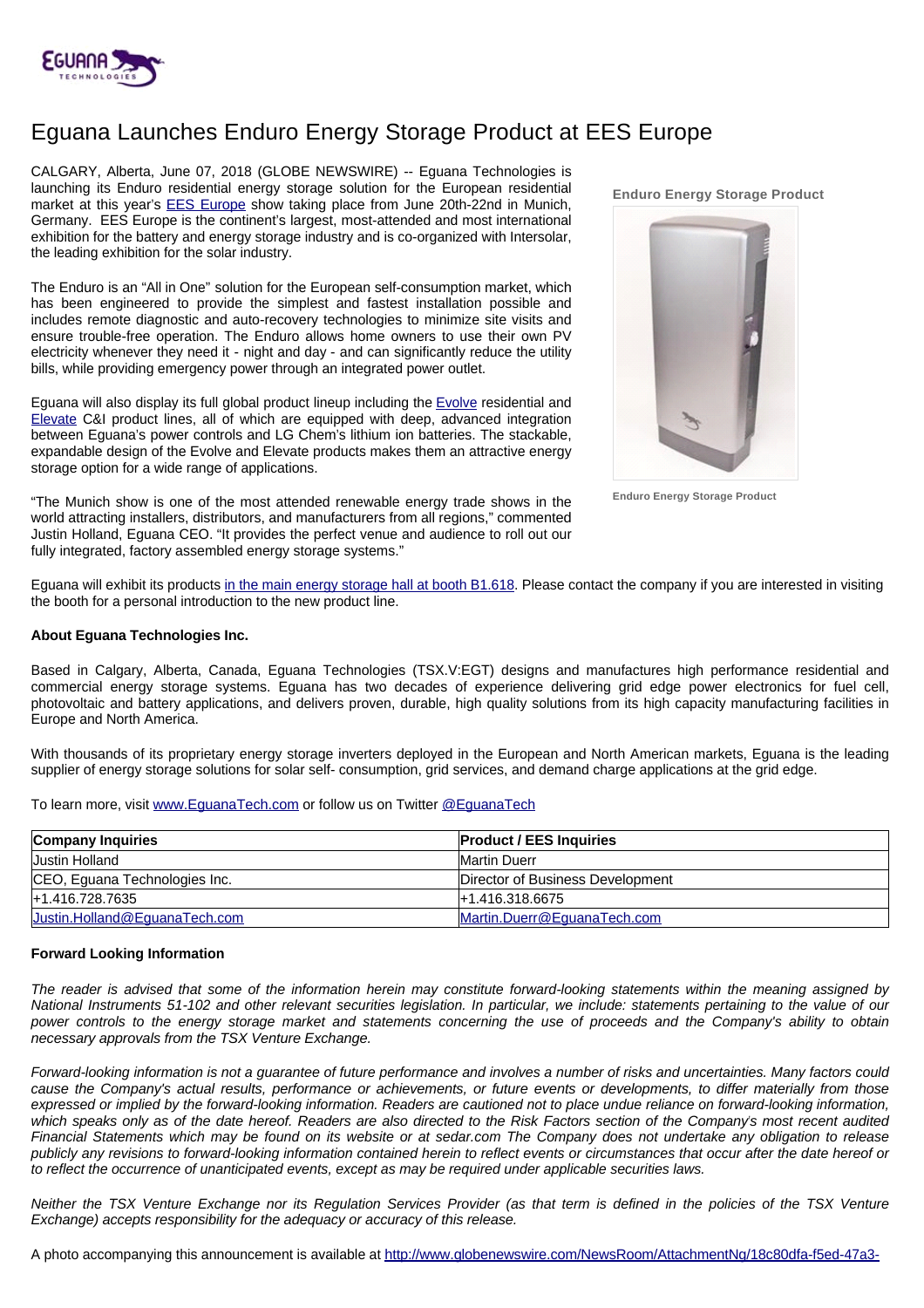

## Eguana Launches Enduro Energy Storage Product at EES Europe

CALGARY, Alberta, June 07, 2018 (GLOBE NEWSWIRE) -- Eguana Technologies is launching its Enduro residential energy storage solution for the European residential market at this year's [EES Europe](https://www.ees-europe.com/en/home.html) show taking place from June 20th-22nd in Munich, Germany. EES Europe is the continent's largest, most-attended and most international exhibition for the battery and energy storage industry and is co-organized with Intersolar, the leading exhibition for the solar industry.

The Enduro is an "All in One" solution for the European self-consumption market, which has been engineered to provide the simplest and fastest installation possible and includes remote diagnostic and auto-recovery technologies to minimize site visits and ensure trouble-free operation. The Enduro allows home owners to use their own PV electricity whenever they need it - night and day - and can significantly reduce the utility bills, while providing emergency power through an integrated power outlet.

Eguana will also display its full global product lineup including the [Evolve](http://www.eguanatech.com/products/residential/) residential and [Elevate](http://www.eguanatech.com/products/commercial/#content) C&I product lines, all of which are equipped with deep, advanced integration between Eguana's power controls and LG Chem's lithium ion batteries. The stackable, expandable design of the Evolve and Elevate products makes them an attractive energy storage option for a wide range of applications.

"The Munich show is one of the most attended renewable energy trade shows in the world attracting installers, distributors, and manufacturers from all regions," commented Justin Holland, Eguana CEO. "It provides the perfect venue and audience to roll out our fully integrated, factory assembled energy storage systems."

**Enduro Energy Storage Product**



**Enduro Energy Storage Product**

Eguana will exhibit its products [in the main energy storage hall at booth B1.618](https://www.thesmartere.de/en/exhibitor-list/exhibitor/eguana-technologies-inc-52412.html?tx_tseexhibitorlist_pi1%5bstand%5d=B1.618). Please contact the company if you are interested in visiting the booth for a personal introduction to the new product line.

## **About Eguana Technologies Inc.**

Based in Calgary, Alberta, Canada, Eguana Technologies (TSX.V:EGT) designs and manufactures high performance residential and commercial energy storage systems. Eguana has two decades of experience delivering grid edge power electronics for fuel cell, photovoltaic and battery applications, and delivers proven, durable, high quality solutions from its high capacity manufacturing facilities in Europe and North America.

With thousands of its proprietary energy storage inverters deployed in the European and North American markets, Eguana is the leading supplier of energy storage solutions for solar self- consumption, grid services, and demand charge applications at the grid edge.

To learn more, visit [www.EguanaTech.com](http://www.eguanatech.com/) or follow us on Twitter [@EguanaTech](https://twitter.com/EguanaTech)

| <b>Company Inquiries</b>      | <b>Product / EES Inquiries</b>   |
|-------------------------------|----------------------------------|
| <b>Justin Holland</b>         | <b>IMartin Duerr</b>             |
| CEO, Eguana Technologies Inc. | Director of Business Development |
| +1.416.728.7635               | <u>I+1.416.318.6675</u>          |
| Justin.Holland@EquanaTech.com | Martin.Duerr@EquanaTech.com      |

## **Forward Looking Information**

The reader is advised that some of the information herein may constitute forward-looking statements within the meaning assigned by National Instruments 51-102 and other relevant securities legislation. In particular, we include: statements pertaining to the value of our power controls to the energy storage market and statements concerning the use of proceeds and the Company's ability to obtain necessary approvals from the TSX Venture Exchange.

Forward-looking information is not a guarantee of future performance and involves a number of risks and uncertainties. Many factors could cause the Company's actual results, performance or achievements, or future events or developments, to differ materially from those expressed or implied by the forward-looking information. Readers are cautioned not to place undue reliance on forward-looking information, which speaks only as of the date hereof. Readers are also directed to the Risk Factors section of the Company's most recent audited Financial Statements which may be found on its website or at sedar.com The Company does not undertake any obligation to release publicly any revisions to forward-looking information contained herein to reflect events or circumstances that occur after the date hereof or to reflect the occurrence of unanticipated events, except as may be required under applicable securities laws.

Neither the TSX Venture Exchange nor its Regulation Services Provider (as that term is defined in the policies of the TSX Venture Exchange) accepts responsibility for the adequacy or accuracy of this release.

A photo accompanying this announcement is available at [http://www.globenewswire.com/NewsRoom/AttachmentNg/18c80dfa-f5ed-47a3-](http://www.globenewswire.com/NewsRoom/AttachmentNg/18c80dfa-f5ed-47a3-9606-5a4b25e8c956)